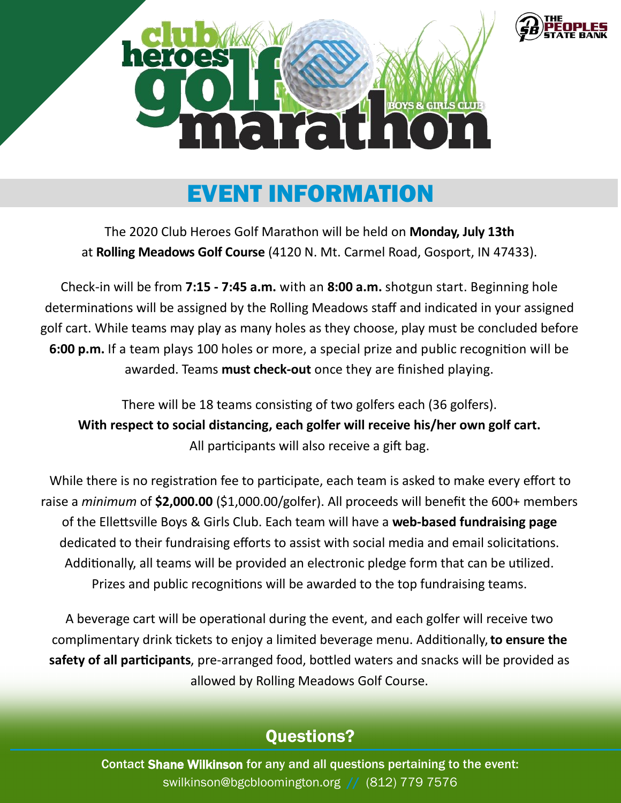

#### EVENT INFORMATION

The 2020 Club Heroes Golf Marathon will be held on **Monday, July 13th**  at **Rolling Meadows Golf Course** (4120 N. Mt. Carmel Road, Gosport, IN 47433).

Check-in will be from **7:15 - 7:45 a.m.** with an **8:00 a.m.** shotgun start. Beginning hole determinations will be assigned by the Rolling Meadows staff and indicated in your assigned golf cart. While teams may play as many holes as they choose, play must be concluded before **6:00 p.m.** If a team plays 100 holes or more, a special prize and public recognition will be awarded. Teams **must check-out** once they are finished playing.

There will be 18 teams consisting of two golfers each (36 golfers). **With respect to social distancing, each golfer will receive his/her own golf cart.**  All participants will also receive a gift bag.

While there is no registration fee to participate, each team is asked to make every effort to raise a *minimum* of **\$2,000.00** (\$1,000.00/golfer). All proceeds will benefit the 600+ members of the Ellettsville Boys & Girls Club. Each team will have a **web-based fundraising page** dedicated to their fundraising efforts to assist with social media and email solicitations. Additionally, all teams will be provided an electronic pledge form that can be utilized. Prizes and public recognitions will be awarded to the top fundraising teams.

A beverage cart will be operational during the event, and each golfer will receive two complimentary drink tickets to enjoy a limited beverage menu. Additionally, **to ensure the safety of all participants**, pre-arranged food, bottled waters and snacks will be provided as allowed by Rolling Meadows Golf Course.

#### Questions?

Contact Shane Wilkinson for any and all questions pertaining to the event: swilkinson@bgcbloomington.org // (812) 779-7576